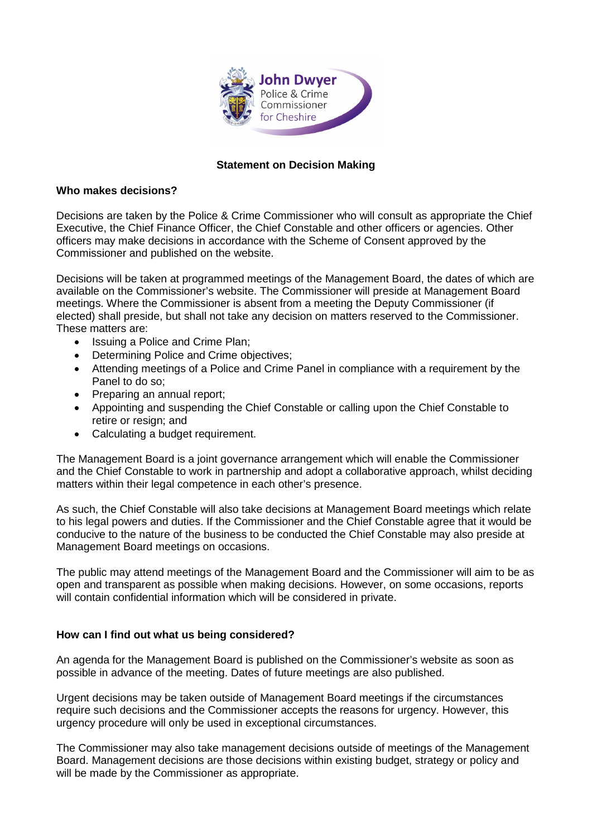

# **Statement on Decision Making**

#### **Who makes decisions?**

Decisions are taken by the Police & Crime Commissioner who will consult as appropriate the Chief Executive, the Chief Finance Officer, the Chief Constable and other officers or agencies. Other officers may make decisions in accordance with the Scheme of Consent approved by the Commissioner and published on the website.

Decisions will be taken at programmed meetings of the Management Board, the dates of which are available on the Commissioner's website. The Commissioner will preside at Management Board meetings. Where the Commissioner is absent from a meeting the Deputy Commissioner (if elected) shall preside, but shall not take any decision on matters reserved to the Commissioner. These matters are:

- Issuing a Police and Crime Plan;
- Determining Police and Crime objectives;
- Attending meetings of a Police and Crime Panel in compliance with a requirement by the Panel to do so;
- Preparing an annual report;
- Appointing and suspending the Chief Constable or calling upon the Chief Constable to retire or resign; and
- Calculating a budget requirement.

The Management Board is a joint governance arrangement which will enable the Commissioner and the Chief Constable to work in partnership and adopt a collaborative approach, whilst deciding matters within their legal competence in each other's presence.

As such, the Chief Constable will also take decisions at Management Board meetings which relate to his legal powers and duties. If the Commissioner and the Chief Constable agree that it would be conducive to the nature of the business to be conducted the Chief Constable may also preside at Management Board meetings on occasions.

The public may attend meetings of the Management Board and the Commissioner will aim to be as open and transparent as possible when making decisions. However, on some occasions, reports will contain confidential information which will be considered in private.

### **How can I find out what us being considered?**

An agenda for the Management Board is published on the Commissioner's website as soon as possible in advance of the meeting. Dates of future meetings are also published.

Urgent decisions may be taken outside of Management Board meetings if the circumstances require such decisions and the Commissioner accepts the reasons for urgency. However, this urgency procedure will only be used in exceptional circumstances.

The Commissioner may also take management decisions outside of meetings of the Management Board. Management decisions are those decisions within existing budget, strategy or policy and will be made by the Commissioner as appropriate.